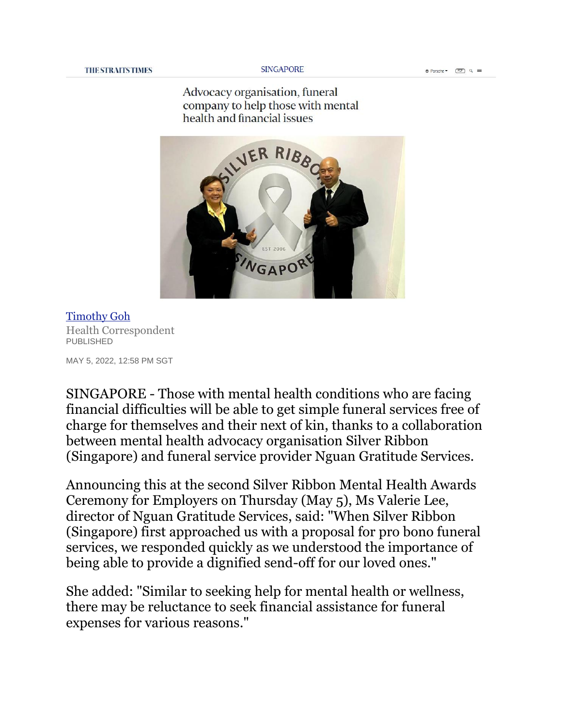Advocacy organisation, funeral company to help those with mental health and financial issues



[Timothy Goh](https://www.straitstimes.com/authors/timothy-goh) Health Correspondent PUBLISHED

MAY 5, 2022, 12:58 PM SGT

SINGAPORE - Those with mental health conditions who are facing financial difficulties will be able to get simple funeral services free of charge for themselves and their next of kin, thanks to a collaboration between mental health advocacy organisation Silver Ribbon (Singapore) and funeral service provider Nguan Gratitude Services.

Announcing this at the second Silver Ribbon Mental Health Awards Ceremony for Employers on Thursday (May 5), Ms Valerie Lee, director of Nguan Gratitude Services, said: "When Silver Ribbon (Singapore) first approached us with a proposal for pro bono funeral services, we responded quickly as we understood the importance of being able to provide a dignified send-off for our loved ones."

She added: "Similar to seeking help for mental health or wellness, there may be reluctance to seek financial assistance for funeral expenses for various reasons."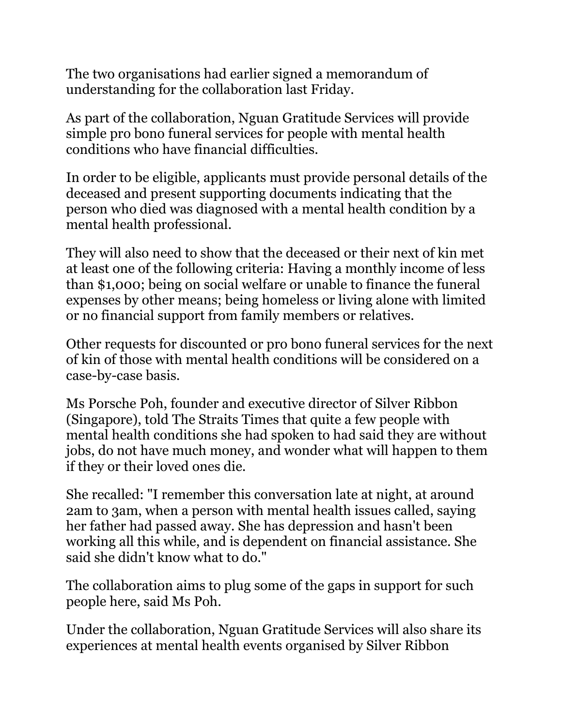The two organisations had earlier signed a memorandum of understanding for the collaboration last Friday.

As part of the collaboration, Nguan Gratitude Services will provide simple pro bono funeral services for people with mental health conditions who have financial difficulties.

In order to be eligible, applicants must provide personal details of the deceased and present supporting documents indicating that the person who died was diagnosed with a mental health condition by a mental health professional.

They will also need to show that the deceased or their next of kin met at least one of the following criteria: Having a monthly income of less than \$1,000; being on social welfare or unable to finance the funeral expenses by other means; being homeless or living alone with limited or no financial support from family members or relatives.

Other requests for discounted or pro bono funeral services for the next of kin of those with mental health conditions will be considered on a case-by-case basis.

Ms Porsche Poh, founder and executive director of Silver Ribbon (Singapore), told The Straits Times that quite a few people with mental health conditions she had spoken to had said they are without jobs, do not have much money, and wonder what will happen to them if they or their loved ones die.

She recalled: "I remember this conversation late at night, at around 2am to 3am, when a person with mental health issues called, saying her father had passed away. She has depression and hasn't been working all this while, and is dependent on financial assistance. She said she didn't know what to do."

The collaboration aims to plug some of the gaps in support for such people here, said Ms Poh.

Under the collaboration, Nguan Gratitude Services will also share its experiences at mental health events organised by Silver Ribbon